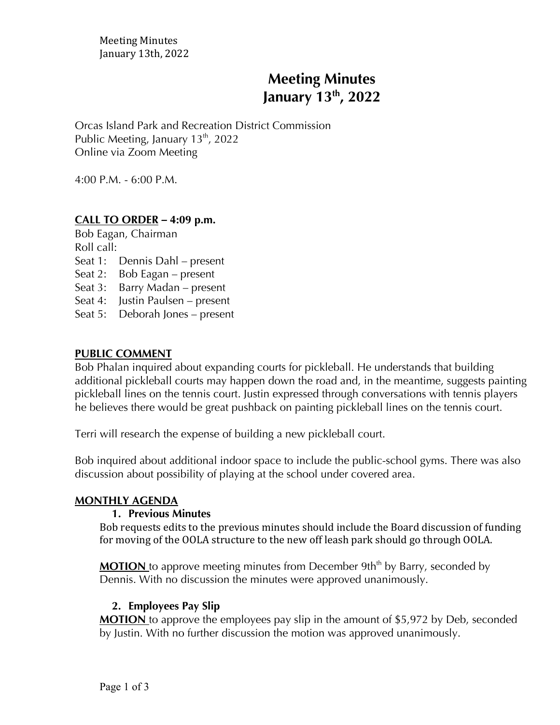Meeting Minutes January 13th, 2022

# **Meeting Minutes January 13th , 2022**

Orcas Island Park and Recreation District Commission Public Meeting, January  $13<sup>th</sup>$ , 2022 Online via Zoom Meeting

4:00 P.M. - 6:00 P.M.

#### **CALL TO ORDER** *–* **4:09 p.m.**

Bob Eagan, Chairman Roll call: Seat 1: Dennis Dahl – present Seat 2: Bob Eagan – present Seat 3: Barry Madan – present Seat 4: Justin Paulsen – present Seat 5: Deborah Jones – present

#### **PUBLIC COMMENT**

Bob Phalan inquired about expanding courts for pickleball. He understands that building additional pickleball courts may happen down the road and, in the meantime, suggests painting pickleball lines on the tennis court. Justin expressed through conversations with tennis players he believes there would be great pushback on painting pickleball lines on the tennis court.

Terri will research the expense of building a new pickleball court.

Bob inquired about additional indoor space to include the public-school gyms. There was also discussion about possibility of playing at the school under covered area.

#### **MONTHLY AGENDA**

#### **1. Previous Minutes**

Bob requests edits to the previous minutes should include the Board discussion of funding for moving of the OOLA structure to the new off leash park should go through OOLA.

**MOTION** to approve meeting minutes from December 9th<sup>th</sup> by Barry, seconded by Dennis. With no discussion the minutes were approved unanimously.

#### **2. Employees Pay Slip**

**MOTION** to approve the employees pay slip in the amount of \$5,972 by Deb, seconded by Justin. With no further discussion the motion was approved unanimously.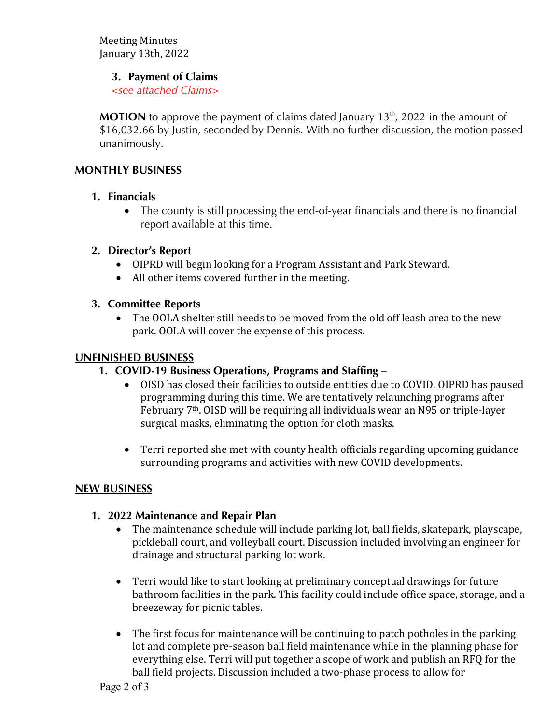Meeting Minutes January 13th, 2022

### **3. Payment of Claims**

*<see attached Claims>*

**MOTION** to approve the payment of claims dated January  $13<sup>th</sup>$ , 2022 in the amount of \$16,032.66 by Justin, seconded by Dennis. With no further discussion, the motion passed unanimously.

# **MONTHLY BUSINESS**

# **1. Financials**

• The county is still processing the end-of-year financials and there is no financial report available at this time.

# **2. Director's Report**

- OIPRD will begin looking for a Program Assistant and Park Steward.
- All other items covered further in the meeting.

# **3. Committee Reports**

• The OOLA shelter still needs to be moved from the old off leash area to the new park. OOLA will cover the expense of this process.

# **UNFINISHED BUSINESS**

- **1. COVID-19 Business Operations, Programs and Staffing** 
	- OISD has closed their facilities to outside entities due to COVID. OIPRD has paused programming during this time. We are tentatively relaunching programs after February  $7<sup>th</sup>$ . OISD will be requiring all individuals wear an N95 or triple-layer surgical masks, eliminating the option for cloth masks.
	- Terri reported she met with county health officials regarding upcoming guidance surrounding programs and activities with new COVID developments.

# **NEW BUSINESS**

# **1. 2022 Maintenance and Repair Plan**

- The maintenance schedule will include parking lot, ball fields, skatepark, playscape, pickleball court, and volleyball court. Discussion included involving an engineer for drainage and structural parking lot work.
- Terri would like to start looking at preliminary conceptual drawings for future bathroom facilities in the park. This facility could include office space, storage, and a breezeway for picnic tables.
- The first focus for maintenance will be continuing to patch potholes in the parking lot and complete pre-season ball field maintenance while in the planning phase for everything else. Terri will put together a scope of work and publish an RFQ for the ball field projects. Discussion included a two-phase process to allow for